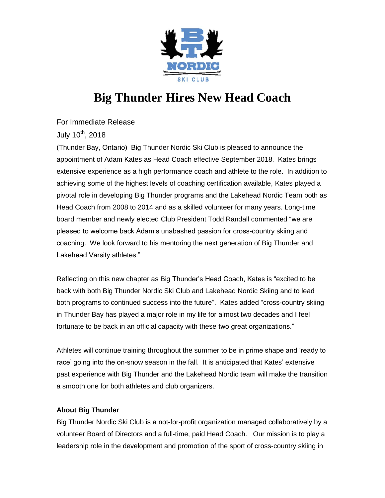

## **Big Thunder Hires New Head Coach**

For Immediate Release

July 10<sup>th</sup>, 2018

(Thunder Bay, Ontario) Big Thunder Nordic Ski Club is pleased to announce the appointment of Adam Kates as Head Coach effective September 2018. Kates brings extensive experience as a high performance coach and athlete to the role. In addition to achieving some of the highest levels of coaching certification available, Kates played a pivotal role in developing Big Thunder programs and the Lakehead Nordic Team both as Head Coach from 2008 to 2014 and as a skilled volunteer for many years. Long-time board member and newly elected Club President Todd Randall commented "we are pleased to welcome back Adam's unabashed passion for cross-country skiing and coaching. We look forward to his mentoring the next generation of Big Thunder and Lakehead Varsity athletes."

Reflecting on this new chapter as Big Thunder's Head Coach, Kates is "excited to be back with both Big Thunder Nordic Ski Club and Lakehead Nordic Skiing and to lead both programs to continued success into the future". Kates added "cross-country skiing in Thunder Bay has played a major role in my life for almost two decades and I feel fortunate to be back in an official capacity with these two great organizations."

Athletes will continue training throughout the summer to be in prime shape and 'ready to race' going into the on-snow season in the fall. It is anticipated that Kates' extensive past experience with Big Thunder and the Lakehead Nordic team will make the transition a smooth one for both athletes and club organizers.

## **About Big Thunder**

Big Thunder Nordic Ski Club is a not-for-profit organization managed collaboratively by a volunteer Board of Directors and a full-time, paid Head Coach. Our mission is to play a leadership role in the development and promotion of the sport of cross-country skiing in